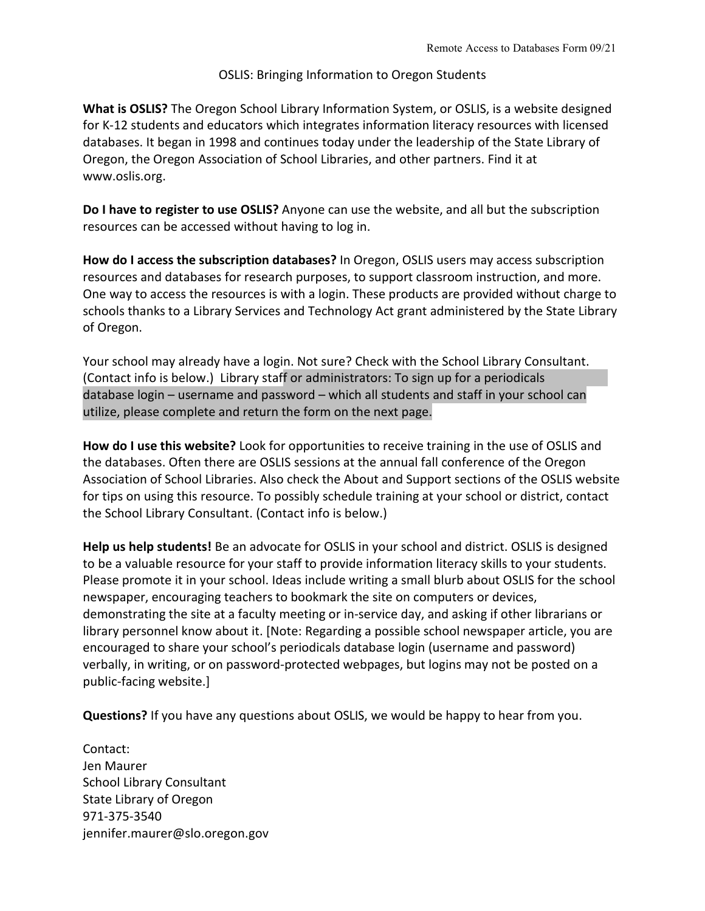## OSLIS: Bringing Information to Oregon Students

**What is OSLIS?** The Oregon School Library Information System, or OSLIS, is a website designed for K-12 students and educators which integrates information literacy resources with licensed databases. It began in 1998 and continues today under the leadership of the State Library of Oregon, the Oregon Association of School Libraries, and other partners. Find it at www.oslis.org.

**Do I have to register to use OSLIS?** Anyone can use the website, and all but the subscription resources can be accessed without having to log in.

**How do I access the subscription databases?** In Oregon, OSLIS users may access subscription resources and databases for research purposes, to support classroom instruction, and more. One way to access the resources is with a login. These products are provided without charge to schools thanks to a Library Services and Technology Act grant administered by the State Library of Oregon.

Your school may already have a login. Not sure? Check with the School Library Consultant. (Contact info is below.) Library staff or administrators: To sign up for a periodicals database login – username and password – which all students and staff in your school can utilize, please complete and return the form on the next page.

**How do I use this website?** Look for opportunities to receive training in the use of OSLIS and the databases. Often there are OSLIS sessions at the annual fall conference of the Oregon Association of School Libraries. Also check the About and Support sections of the OSLIS website for tips on using this resource. To possibly schedule training at your school or district, contact the School Library Consultant. (Contact info is below.)

**Help us help students!** Be an advocate for OSLIS in your school and district. OSLIS is designed to be a valuable resource for your staff to provide information literacy skills to your students. Please promote it in your school. Ideas include writing a small blurb about OSLIS for the school newspaper, encouraging teachers to bookmark the site on computers or devices, demonstrating the site at a faculty meeting or in-service day, and asking if other librarians or library personnel know about it. [Note: Regarding a possible school newspaper article, you are encouraged to share your school's periodicals database login (username and password) verbally, in writing, or on password-protected webpages, but logins may not be posted on a public-facing website.]

**Questions?** If you have any questions about OSLIS, we would be happy to hear from you.

Contact: Jen Maurer School Library Consultant State Library of Oregon 971-375-3540 jennifer.maurer@slo.oregon.gov